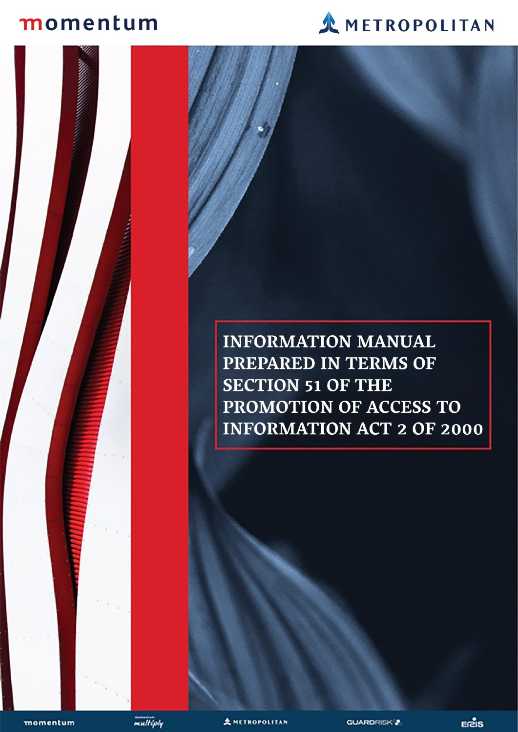# momentum

PAIA Information Manual



**INFORMATION MANUAL** PREPARED IN TERMS OF **SECTION 51 OF THE** PROMOTION OF ACCESS TO **INFORMATION ACT 2 OF 2000** 

momentum



**AMETROPOLITAN** 

Brand to update cover sheet with the cover sheet with the cover sheet with the cover sheet with the cover sheet

picture and new Momentum and new Momentum and new Momentum and new Momentum and

Metropolitan Branding Company and the Company of the Company of the Company of the Company of the Company of the Company of the Company of the Company of the Company of the Company of the Company of the Company of the Comp

**GUARDRISK<sup>®</sup>**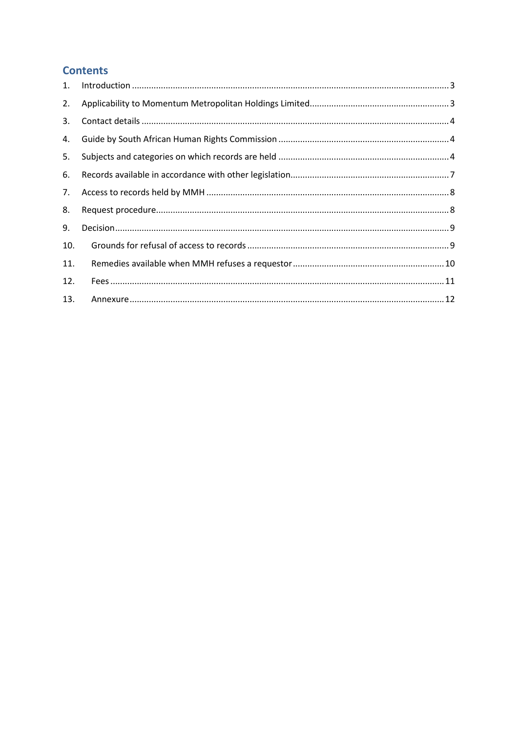# **Contents**

| 2.  |  |
|-----|--|
| 3.  |  |
| 4.  |  |
| 5.  |  |
| 6.  |  |
| 7.  |  |
| 8.  |  |
| 9.  |  |
| 10. |  |
| 11. |  |
| 12. |  |
| 13. |  |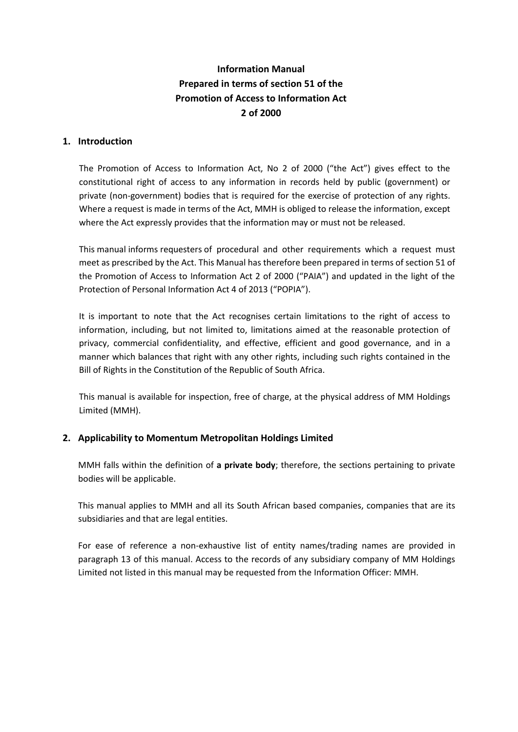# **Information Manual Prepared in terms of section 51 of the Promotion of Access to Information Act 2 of 2000**

## <span id="page-2-0"></span>**1. Introduction**

The Promotion of Access to Information Act, No 2 of 2000 ("the Act") gives effect to the constitutional right of access to any information in records held by public (government) or private (non-government) bodies that is required for the exercise of protection of any rights. Where a request is made in terms of the Act, MMH is obliged to release the information, except where the Act expressly provides that the information may or must not be released.

This manual informs requesters of procedural and other requirements which a request must meet as prescribed by the Act. This Manual has therefore been prepared in terms of section 51 of the Promotion of Access to Information Act 2 of 2000 ("PAIA") and updated in the light of the Protection of Personal Information Act 4 of 2013 ("POPIA").

It is important to note that the Act recognises certain limitations to the right of access to information, including, but not limited to, limitations aimed at the reasonable protection of privacy, commercial confidentiality, and effective, efficient and good governance, and in a manner which balances that right with any other rights, including such rights contained in the Bill of Rights in the Constitution of the Republic of South Africa.

This manual is available for inspection, free of charge, at the physical address of MM Holdings Limited (MMH).

## <span id="page-2-1"></span>**2. Applicability to Momentum Metropolitan Holdings Limited**

MMH falls within the definition of **a private body**; therefore, the sections pertaining to private bodies will be applicable.

This manual applies to MMH and all its South African based companies, companies that are its subsidiaries and that are legal entities.

For ease of reference a non-exhaustive list of entity names/trading names are provided in paragraph 13 of this manual. Access to the records of any subsidiary company of MM Holdings Limited not listed in this manual may be requested from the Information Officer: MMH.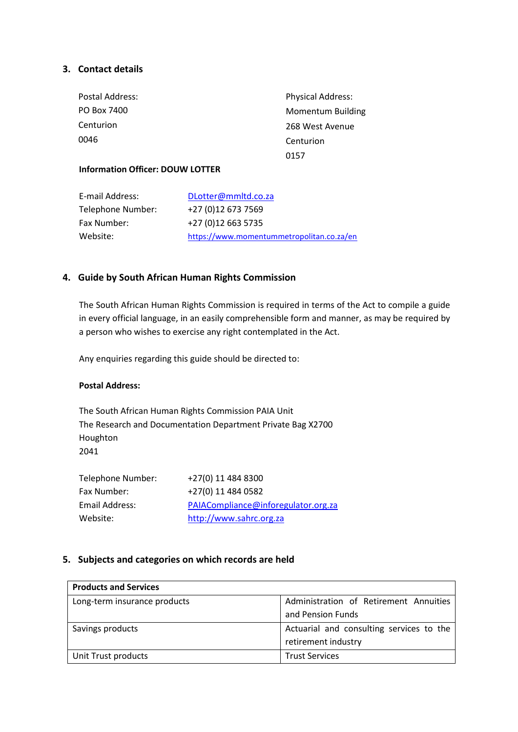# <span id="page-3-0"></span>**3. Contact details**

| Postal Address: | <b>Physical Address:</b> |
|-----------------|--------------------------|
| PO Box 7400     | <b>Momentum Building</b> |
| Centurion       | 268 West Avenue          |
| 0046            | Centurion                |
|                 | 0157                     |
|                 |                          |

## **Information Officer: DOUW LOTTER**

| E-mail Address:   | DLotter@mmltd.co.za                       |  |
|-------------------|-------------------------------------------|--|
| Telephone Number: | +27 (0)12 673 7569                        |  |
| Fax Number:       | +27 (0)12 663 5735                        |  |
| Website:          | https://www.momentummetropolitan.co.za/en |  |

# <span id="page-3-1"></span>**4. Guide by South African Human Rights Commission**

The South African Human Rights Commission is required in terms of the Act to compile a guide in every official language, in an easily comprehensible form and manner, as may be required by a person who wishes to exercise any right contemplated in the Act.

Any enquiries regarding this guide should be directed to:

#### **Postal Address:**

The South African Human Rights Commission PAIA Unit The Research and Documentation Department Private Bag X2700 Houghton 2041

| Telephone Number: | +27(0) 11 484 8300                  |
|-------------------|-------------------------------------|
| Fax Number:       | +27(0) 11 484 0582                  |
| Email Address:    | PAIACompliance@inforegulator.org.za |
| Website:          | http://www.sahrc.org.za             |

## <span id="page-3-2"></span>**5. Subjects and categories on which records are held**

| <b>Products and Services</b> |                                          |  |
|------------------------------|------------------------------------------|--|
| Long-term insurance products | Administration of Retirement Annuities   |  |
|                              | and Pension Funds                        |  |
| Savings products             | Actuarial and consulting services to the |  |
|                              | retirement industry                      |  |
| Unit Trust products          | <b>Trust Services</b>                    |  |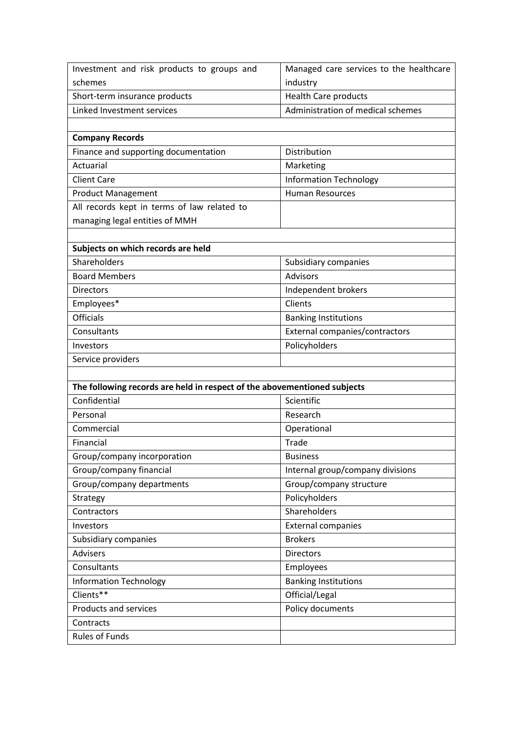| Investment and risk products to groups and                               | Managed care services to the healthcare |  |
|--------------------------------------------------------------------------|-----------------------------------------|--|
| schemes                                                                  | industry                                |  |
| Short-term insurance products                                            | <b>Health Care products</b>             |  |
| Linked Investment services                                               | Administration of medical schemes       |  |
|                                                                          |                                         |  |
| <b>Company Records</b>                                                   |                                         |  |
| Finance and supporting documentation                                     | Distribution                            |  |
| Actuarial                                                                | Marketing                               |  |
| <b>Client Care</b>                                                       | <b>Information Technology</b>           |  |
| <b>Product Management</b>                                                | <b>Human Resources</b>                  |  |
| All records kept in terms of law related to                              |                                         |  |
| managing legal entities of MMH                                           |                                         |  |
|                                                                          |                                         |  |
| Subjects on which records are held                                       |                                         |  |
| Shareholders                                                             | Subsidiary companies                    |  |
| <b>Board Members</b>                                                     | <b>Advisors</b>                         |  |
| <b>Directors</b>                                                         | Independent brokers                     |  |
| Employees*                                                               | Clients                                 |  |
| <b>Officials</b>                                                         | <b>Banking Institutions</b>             |  |
| Consultants                                                              | External companies/contractors          |  |
| Investors                                                                | Policyholders                           |  |
| Service providers                                                        |                                         |  |
|                                                                          |                                         |  |
| The following records are held in respect of the abovementioned subjects |                                         |  |
| Confidential                                                             | Scientific                              |  |
| Personal                                                                 | Research                                |  |
| Commercial                                                               | Operational                             |  |
| Financial                                                                | Trade                                   |  |
| Group/company incorporation                                              | <b>Business</b>                         |  |
| Group/company financial                                                  | Internal group/company divisions        |  |
| Group/company departments                                                | Group/company structure                 |  |
| Strategy                                                                 | Policyholders                           |  |
| Contractors                                                              | Shareholders                            |  |
| Investors                                                                | <b>External companies</b>               |  |
| Subsidiary companies                                                     | <b>Brokers</b>                          |  |
| <b>Advisers</b>                                                          | <b>Directors</b>                        |  |
| Consultants                                                              | Employees                               |  |
| <b>Information Technology</b>                                            | <b>Banking Institutions</b>             |  |
| Clients**                                                                | Official/Legal                          |  |
| Products and services                                                    | Policy documents                        |  |
| Contracts                                                                |                                         |  |
| <b>Rules of Funds</b>                                                    |                                         |  |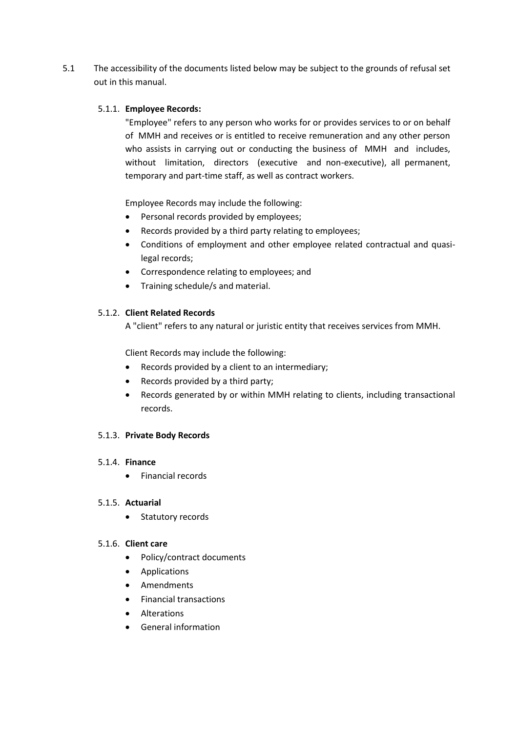5.1 The accessibility of the documents listed below may be subject to the grounds of refusal set out in this manual.

#### 5.1.1. **Employee Records:**

"Employee" refers to any person who works for or provides services to or on behalf of MMH and receives or is entitled to receive remuneration and any other person who assists in carrying out or conducting the business of MMH and includes, without limitation, directors (executive and non-executive), all permanent, temporary and part-time staff, as well as contract workers.

Employee Records may include the following:

- Personal records provided by employees;
- Records provided by a third party relating to employees;
- Conditions of employment and other employee related contractual and quasilegal records;
- Correspondence relating to employees; and
- Training schedule/s and material.

## 5.1.2. **Client Related Records**

A "client" refers to any natural or juristic entity that receives services from MMH.

Client Records may include the following:

- Records provided by a client to an intermediary;
- Records provided by a third party;
- Records generated by or within MMH relating to clients, including transactional records.

## 5.1.3. **Private Body Records**

#### 5.1.4. **Finance**

• Financial records

#### 5.1.5. **Actuarial**

• Statutory records

#### 5.1.6. **Client care**

- Policy/contract documents
- Applications
- Amendments
- Financial transactions
- Alterations
- General information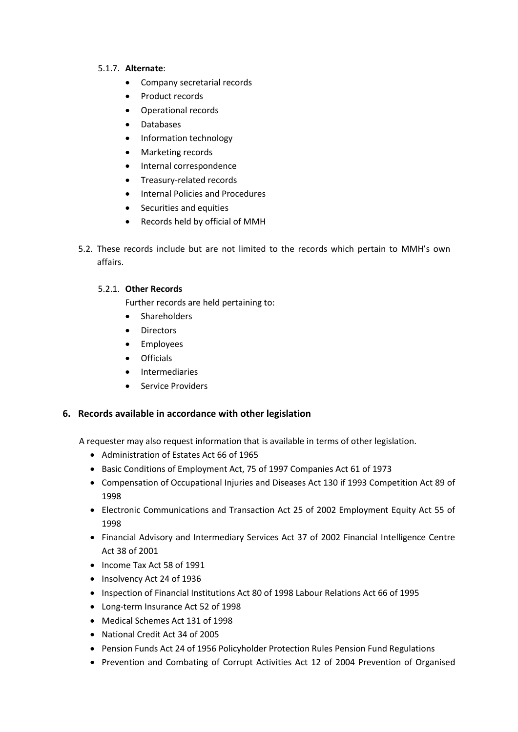## 5.1.7. **Alternate**:

- Company secretarial records
- Product records
- Operational records
- Databases
- Information technology
- Marketing records
- Internal correspondence
- Treasury-related records
- Internal Policies and Procedures
- Securities and equities
- Records held by official of MMH
- 5.2. These records include but are not limited to the records which pertain to MMH's own affairs.

## 5.2.1. **Other Records**

- Further records are held pertaining to:
- Shareholders
- Directors
- Employees
- Officials
- Intermediaries
- Service Providers

## <span id="page-6-0"></span>**6. Records available in accordance with other legislation**

A requester may also request information that is available in terms of other legislation.

- Administration of Estates Act 66 of 1965
- Basic Conditions of Employment Act, 75 of 1997 Companies Act 61 of 1973
- Compensation of Occupational Injuries and Diseases Act 130 if 1993 Competition Act 89 of 1998
- Electronic Communications and Transaction Act 25 of 2002 Employment Equity Act 55 of 1998
- Financial Advisory and Intermediary Services Act 37 of 2002 Financial Intelligence Centre Act 38 of 2001
- Income Tax Act 58 of 1991
- Insolvency Act 24 of 1936
- Inspection of Financial Institutions Act 80 of 1998 Labour Relations Act 66 of 1995
- Long-term Insurance Act 52 of 1998
- Medical Schemes Act 131 of 1998
- National Credit Act 34 of 2005
- Pension Funds Act 24 of 1956 Policyholder Protection Rules Pension Fund Regulations
- Prevention and Combating of Corrupt Activities Act 12 of 2004 Prevention of Organised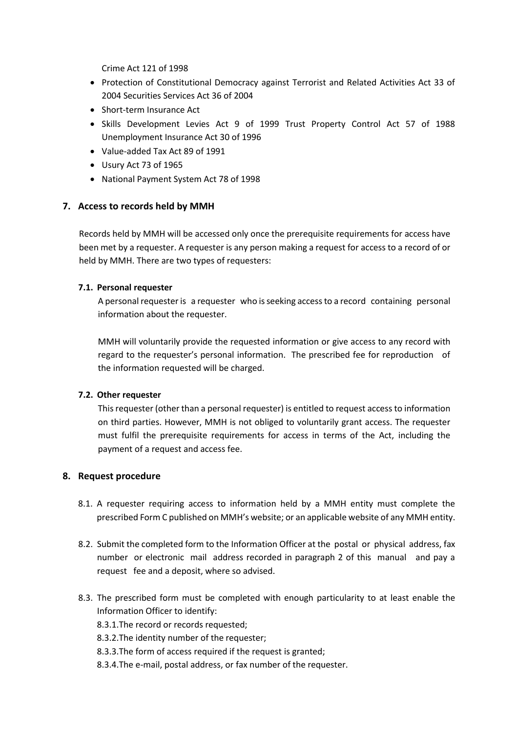Crime Act 121 of 1998

- Protection of Constitutional Democracy against Terrorist and Related Activities Act 33 of 2004 Securities Services Act 36 of 2004
- Short-term Insurance Act
- Skills Development Levies Act 9 of 1999 Trust Property Control Act 57 of 1988 Unemployment Insurance Act 30 of 1996
- Value-added Tax Act 89 of 1991
- Usury Act 73 of 1965
- National Payment System Act 78 of 1998

## <span id="page-7-0"></span>**7. Access to records held by MMH**

Records held by MMH will be accessed only once the prerequisite requirements for access have been met by a requester. A requester is any person making a request for access to a record of or held by MMH. There are two types of requesters:

## **7.1. Personal requester**

A personal requester is a requester who is seeking access to a record containing personal information about the requester.

MMH will voluntarily provide the requested information or give access to any record with regard to the requester's personal information. The prescribed fee for reproduction of the information requested will be charged.

## **7.2. Other requester**

This requester (other than a personal requester) is entitled to request access to information on third parties. However, MMH is not obliged to voluntarily grant access. The requester must fulfil the prerequisite requirements for access in terms of the Act, including the payment of a request and access fee.

## <span id="page-7-1"></span>**8. Request procedure**

- 8.1. A requester requiring access to information held by a MMH entity must complete the prescribed Form C published on MMH's website; or an applicable website of any MMH entity.
- 8.2. Submit the completed form to the Information Officer at the postal or physical address, fax number or electronic mail address recorded in paragraph 2 of this manual and pay a request fee and a deposit, where so advised.
- 8.3. The prescribed form must be completed with enough particularity to at least enable the Information Officer to identify:
	- 8.3.1.The record or records requested;
	- 8.3.2.The identity number of the requester;
	- 8.3.3.The form of access required if the request is granted;
	- 8.3.4.The e-mail, postal address, or fax number of the requester.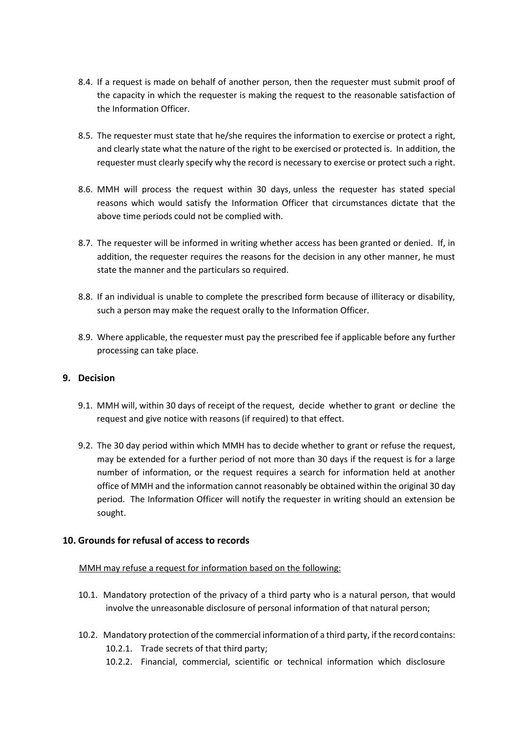- 8.4. If a request is made on behalf of another person, then the requester must submit proof of the capacity in which the requester is making the request to the reasonable satisfaction of the Information Officer.
- 8.5. The requester must state that he/she requires the information to exercise or protect a right, and clearly state what the nature of the right to be exercised or protected is. In addition, the requester must clearly specify why the record is necessary to exercise or protect such a right.
- 8.6. MMH will process the request within 30 days, unless the requester has stated special reasons which would satisfy the Information Officer that circumstances dictate that the above time periods could not be complied with.
- 8.7. The requester will be informed in writing whether access has been granted or denied. If, in addition, the requester requires the reasons for the decision in any other manner, he must state the manner and the particulars so required.
- 8.8. If an individual is unable to complete the prescribed form because of illiteracy or disability, such a person may make the request orally to the Information Officer.
- 8.9. Where applicable, the requester must pay the prescribed fee if applicable before any further processing can take place.

## <span id="page-8-0"></span>**9. Decision**

- 9.1. MMH will, within 30 days of receipt of the request, decide whether to grant or decline the request and give notice with reasons (if required) to that effect.
- 9.2. The 30 day period within which MMH has to decide whether to grant or refuse the request, may be extended for a further period of not more than 30 days if the request is for a large number of information, or the request requires a search for information held at another office of MMH and the information cannot reasonably be obtained within the original 30 day period. The Information Officer will notify the requester in writing should an extension be sought.

## <span id="page-8-1"></span>**10. Grounds for refusal of access to records**

#### MMH may refuse a request for information based on the following:

- 10.1. Mandatory protection of the privacy of a third party who is a natural person, that would involve the unreasonable disclosure of personal information of that natural person;
- 10.2. Mandatory protection of the commercial information of a third party, if the recordcontains: 10.2.1. Trade secrets of that third party;
	- 10.2.2. Financial, commercial, scientific or technical information which disclosure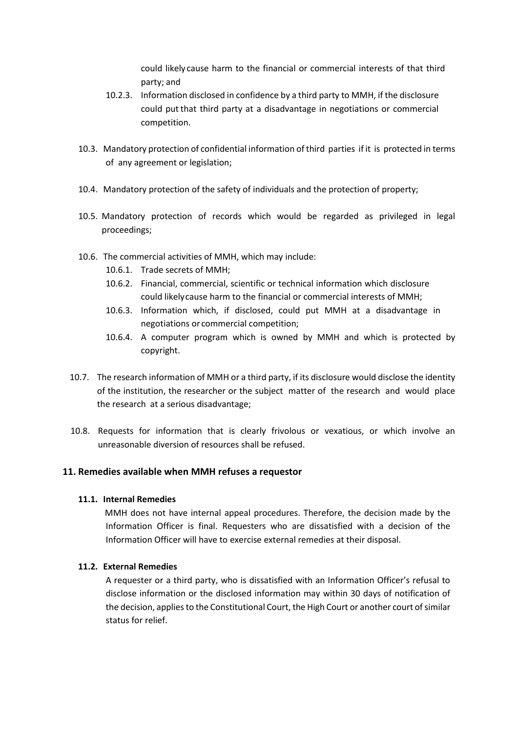could likely cause harm to the financial or commercial interests of that third party; and

- 10.2.3. Information disclosed in confidence by a third party to MMH, if the disclosure could put that third party at a disadvantage in negotiations or commercial competition.
- 10.3. Mandatory protection of confidential information of third parties if it is protected in terms of any agreement or legislation;
- 10.4. Mandatory protection of the safety of individuals and the protection of property;
- 10.5. Mandatory protection of records which would be regarded as privileged in legal proceedings;
- 10.6. The commercial activities of MMH, which may include:
	- 10.6.1. Trade secrets of MMH;
	- 10.6.2. Financial, commercial, scientific or technical information which disclosure could likelycause harm to the financial or commercial interests of MMH;
	- 10.6.3. Information which, if disclosed, could put MMH at a disadvantage in negotiations or commercial competition;
	- 10.6.4. A computer program which is owned by MMH and which is protected by copyright.
- 10.7. The research information of MMH or a third party, if its disclosure would disclose the identity of the institution, the researcher or the subject matter of the research and would place the research at a serious disadvantage;
- 10.8. Requests for information that is clearly frivolous or vexatious, or which involve an unreasonable diversion of resources shall be refused.

## <span id="page-9-0"></span>**11. Remedies available when MMH refuses a requestor**

## **11.1. Internal Remedies**

MMH does not have internal appeal procedures. Therefore, the decision made by the Information Officer is final. Requesters who are dissatisfied with a decision of the Information Officer will have to exercise external remedies at their disposal.

## **11.2. External Remedies**

A requester or a third party, who is dissatisfied with an Information Officer's refusal to disclose information or the disclosed information may within 30 days of notification of the decision, applies to the Constitutional Court, the High Court or another court of similar status for relief.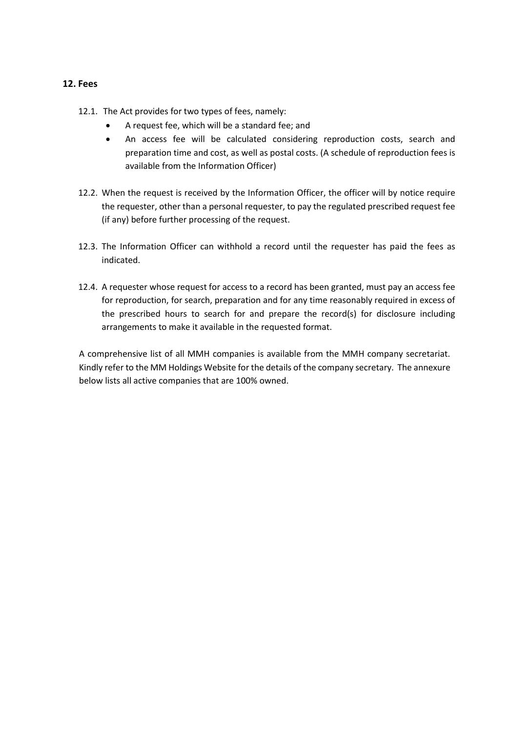## <span id="page-10-0"></span>**12. Fees**

- 12.1. The Act provides for two types of fees, namely:
	- A request fee, which will be a standard fee; and
	- An access fee will be calculated considering reproduction costs, search and preparation time and cost, as well as postal costs. (A schedule of reproduction fees is available from the Information Officer)
- 12.2. When the request is received by the Information Officer, the officer will by notice require the requester, other than a personal requester, to pay the regulated prescribed request fee (if any) before further processing of the request.
- 12.3. The Information Officer can withhold a record until the requester has paid the fees as indicated.
- 12.4. A requester whose request for access to a record has been granted, must pay an access fee for reproduction, for search, preparation and for any time reasonably required in excess of the prescribed hours to search for and prepare the record(s) for disclosure including arrangements to make it available in the requested format.

A comprehensive list of all MMH companies is available from the MMH company secretariat. Kindly refer to the MM Holdings Website for the details of the company secretary. The annexure below lists all active companies that are 100% owned.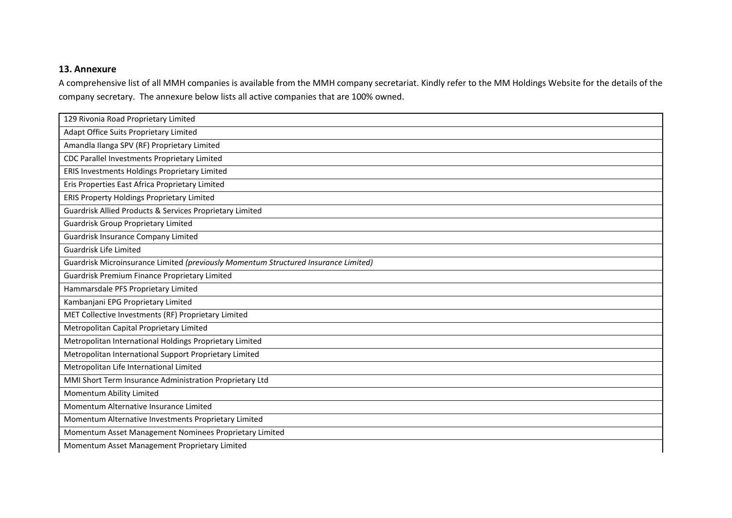# **13. Annexure**

A comprehensive list of all MMH companies is available from the MMH company secretariat. Kindly refer to the MM Holdings Website for the details of the company secretary. The annexure below lists all active companies that are 100% owned.

<span id="page-11-0"></span>

| 129 Rivonia Road Proprietary Limited                                                |
|-------------------------------------------------------------------------------------|
| Adapt Office Suits Proprietary Limited                                              |
| Amandla Ilanga SPV (RF) Proprietary Limited                                         |
| CDC Parallel Investments Proprietary Limited                                        |
| ERIS Investments Holdings Proprietary Limited                                       |
| Eris Properties East Africa Proprietary Limited                                     |
| <b>ERIS Property Holdings Proprietary Limited</b>                                   |
| Guardrisk Allied Products & Services Proprietary Limited                            |
| <b>Guardrisk Group Proprietary Limited</b>                                          |
| Guardrisk Insurance Company Limited                                                 |
| Guardrisk Life Limited                                                              |
| Guardrisk Microinsurance Limited (previously Momentum Structured Insurance Limited) |
| Guardrisk Premium Finance Proprietary Limited                                       |
| Hammarsdale PFS Proprietary Limited                                                 |
| Kambanjani EPG Proprietary Limited                                                  |
| MET Collective Investments (RF) Proprietary Limited                                 |
| Metropolitan Capital Proprietary Limited                                            |
| Metropolitan International Holdings Proprietary Limited                             |
| Metropolitan International Support Proprietary Limited                              |
| Metropolitan Life International Limited                                             |
| MMI Short Term Insurance Administration Proprietary Ltd                             |
| Momentum Ability Limited                                                            |
| Momentum Alternative Insurance Limited                                              |
| Momentum Alternative Investments Proprietary Limited                                |
|                                                                                     |
| Momentum Asset Management Nominees Proprietary Limited                              |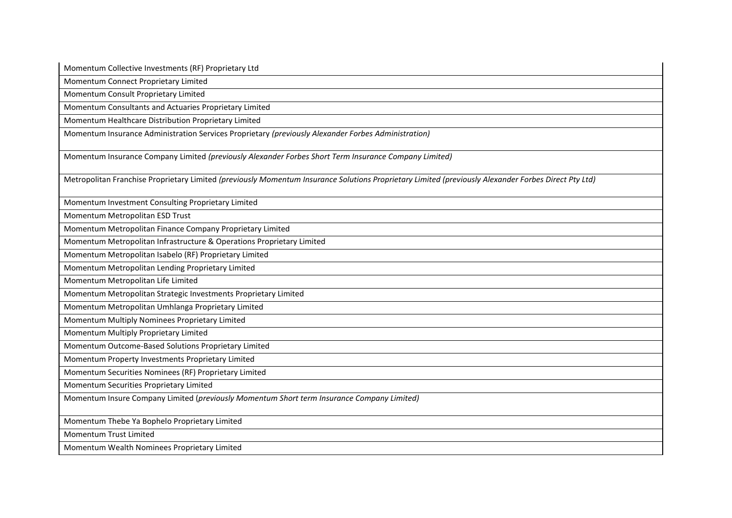Momentum Collective Investments (RF) Proprietary Ltd

Momentum Connect Proprietary Limited

Momentum Consult Proprietary Limited

Momentum Consultants and Actuaries Proprietary Limited

Momentum Healthcare Distribution Proprietary Limited

Momentum Insurance Administration Services Proprietary *(previously Alexander Forbes Administration)*

Momentum Insurance Company Limited *(previously Alexander Forbes Short Term Insurance Company Limited)*

Metropolitan Franchise Proprietary Limited *(previously Momentum Insurance Solutions Proprietary Limited (previously Alexander Forbes Direct Pty Ltd)*

Momentum Investment Consulting Proprietary Limited

Momentum Metropolitan ESD Trust

Momentum Metropolitan Finance Company Proprietary Limited

Momentum Metropolitan Infrastructure & Operations Proprietary Limited

Momentum Metropolitan Isabelo (RF) Proprietary Limited

Momentum Metropolitan Lending Proprietary Limited

Momentum Metropolitan Life Limited

Momentum Metropolitan Strategic Investments Proprietary Limited

Momentum Metropolitan Umhlanga Proprietary Limited

Momentum Multiply Nominees Proprietary Limited

Momentum Multiply Proprietary Limited

Momentum Outcome-Based Solutions Proprietary Limited

Momentum Property Investments Proprietary Limited

Momentum Securities Nominees (RF) Proprietary Limited

Momentum Securities Proprietary Limited

Momentum Insure Company Limited (*previously Momentum Short term Insurance Company Limited)*

Momentum Thebe Ya Bophelo Proprietary Limited

Momentum Trust Limited

Momentum Wealth Nominees Proprietary Limited